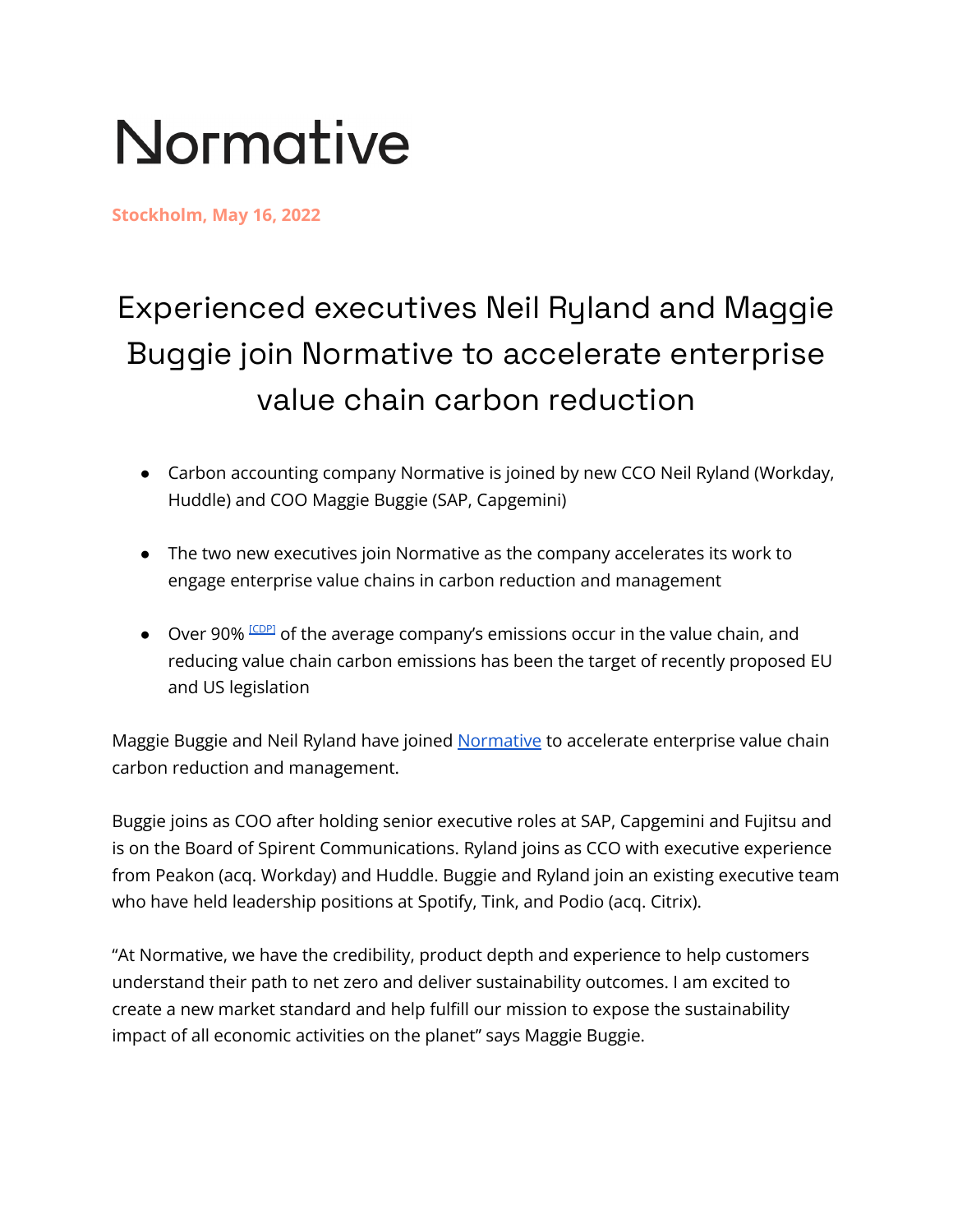## Normative

**Stockholm, May 16, 2022**

## Experienced executives Neil Ryland and Maggie Buggie join Normative to accelerate enterprise value chain carbon reduction

- Carbon accounting company Normative is joined by new CCO Neil Ryland (Workday, Huddle) and COO Maggie Buggie (SAP, Capgemini)
- The two new executives join Normative as the company accelerates its work to engage enterprise value chains in carbon reduction and management
- Over 90% COPP of the average company's emissions occur in the value chain, and reducing value chain carbon emissions has been the target of recently proposed EU and US legislation

Maggie Buggie and Neil Ryland have joined [Normative](https://normative.io/) to accelerate enterprise value chain carbon reduction and management.

Buggie joins as COO after holding senior executive roles at SAP, Capgemini and Fujitsu and is on the Board of Spirent Communications. Ryland joins as CCO with executive experience from Peakon (acq. Workday) and Huddle. Buggie and Ryland join an existing executive team who have held leadership positions at Spotify, Tink, and Podio (acq. Citrix).

"At Normative, we have the credibility, product depth and experience to help customers understand their path to net zero and deliver sustainability outcomes. I am excited to create a new market standard and help fulfill our mission to expose the sustainability impact of all economic activities on the planet" says Maggie Buggie.